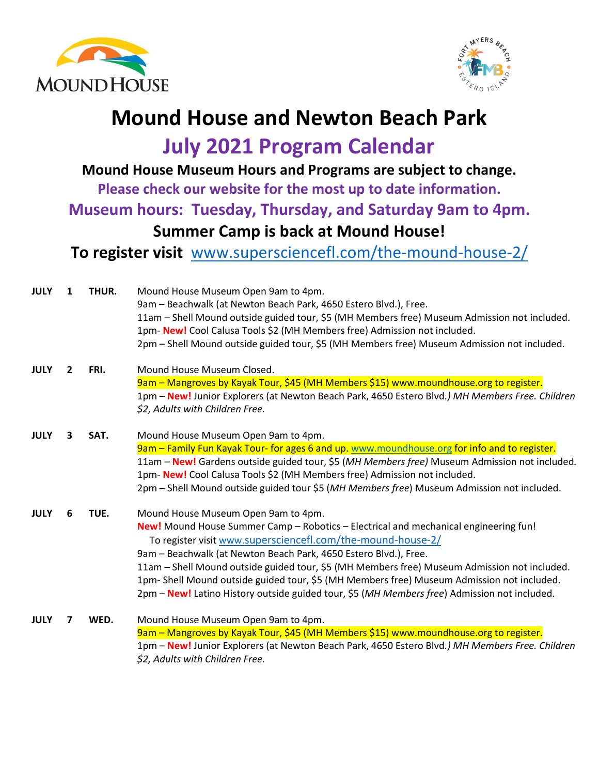



## **Mound House and Newton Beach Park**

**July 2021 Program Calendar**

**Mound House Museum Hours and Programs are subject to change.** 

**Please check our website for the most up to date information.** 

**Museum hours: Tuesday, Thursday, and Saturday 9am to 4pm.**

## **Summer Camp is back at Mound House!**

**To register visit** [www.supersciencefl.com/the-mound-house-2/](http://www.supersciencefl.com/the-mound-house-2/)

| <b>JULY</b> | 1 | THUR. | Mound House Museum Open 9am to 4pm.                                                             |
|-------------|---|-------|-------------------------------------------------------------------------------------------------|
|             |   |       | 9am - Beachwalk (at Newton Beach Park, 4650 Estero Blvd.), Free.                                |
|             |   |       | 11am - Shell Mound outside guided tour, \$5 (MH Members free) Museum Admission not included.    |
|             |   |       | 1pm-New! Cool Calusa Tools \$2 (MH Members free) Admission not included.                        |
|             |   |       | 2pm - Shell Mound outside guided tour, \$5 (MH Members free) Museum Admission not included.     |
| <b>JULY</b> | 2 | FRI.  | Mound House Museum Closed.                                                                      |
|             |   |       | 9am - Mangroves by Kayak Tour, \$45 (MH Members \$15) www.moundhouse.org to register.           |
|             |   |       | 1pm - New! Junior Explorers (at Newton Beach Park, 4650 Estero Blvd.) MH Members Free. Children |
|             |   |       | \$2, Adults with Children Free.                                                                 |
| <b>JULY</b> | 3 | SAT.  | Mound House Museum Open 9am to 4pm.                                                             |
|             |   |       | 9am - Family Fun Kayak Tour- for ages 6 and up. www.moundhouse.org for info and to register.    |
|             |   |       | 11am - New! Gardens outside guided tour, \$5 (MH Members free) Museum Admission not included.   |
|             |   |       | 1pm- New! Cool Calusa Tools \$2 (MH Members free) Admission not included.                       |
|             |   |       | 2pm - Shell Mound outside guided tour \$5 (MH Members free) Museum Admission not included.      |
| <b>JULY</b> | 6 | TUE.  | Mound House Museum Open 9am to 4pm.                                                             |
|             |   |       | New! Mound House Summer Camp - Robotics - Electrical and mechanical engineering fun!            |
|             |   |       | To register visit www.supersciencefl.com/the-mound-house-2/                                     |
|             |   |       | 9am - Beachwalk (at Newton Beach Park, 4650 Estero Blvd.), Free.                                |
|             |   |       | 11am - Shell Mound outside guided tour, \$5 (MH Members free) Museum Admission not included.    |
|             |   |       | 1pm- Shell Mound outside guided tour, \$5 (MH Members free) Museum Admission not included.      |
|             |   |       | 2pm – New! Latino History outside guided tour, \$5 (MH Members free) Admission not included.    |
| <b>JULY</b> | 7 | WED.  | Mound House Museum Open 9am to 4pm.                                                             |
|             |   |       | 9am - Mangroves by Kayak Tour, \$45 (MH Members \$15) www.moundhouse.org to register.           |
|             |   |       | 1pm - New! Junior Explorers (at Newton Beach Park, 4650 Estero Blvd.) MH Members Free. Children |
|             |   |       | \$2, Adults with Children Free.                                                                 |
|             |   |       |                                                                                                 |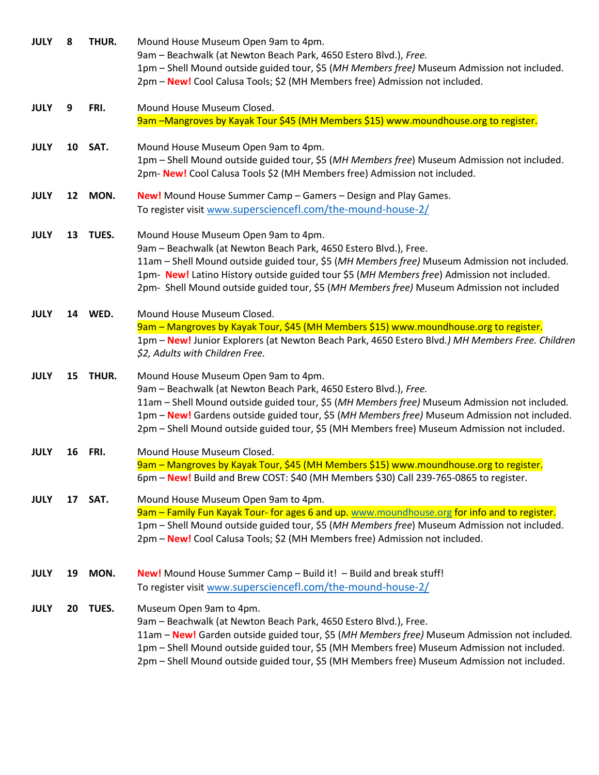| <b>JULY</b> | 8  | THUR.   | Mound House Museum Open 9am to 4pm.<br>9am - Beachwalk (at Newton Beach Park, 4650 Estero Blvd.), Free.<br>1pm - Shell Mound outside guided tour, \$5 (MH Members free) Museum Admission not included.<br>2pm - New! Cool Calusa Tools; \$2 (MH Members free) Admission not included.                                                                                                                  |
|-------------|----|---------|--------------------------------------------------------------------------------------------------------------------------------------------------------------------------------------------------------------------------------------------------------------------------------------------------------------------------------------------------------------------------------------------------------|
| <b>JULY</b> | 9  | FRI.    | Mound House Museum Closed.                                                                                                                                                                                                                                                                                                                                                                             |
|             |    |         | 9am -Mangroves by Kayak Tour \$45 (MH Members \$15) www.moundhouse.org to register.                                                                                                                                                                                                                                                                                                                    |
| <b>JULY</b> | 10 | SAT.    | Mound House Museum Open 9am to 4pm.<br>1pm - Shell Mound outside guided tour, \$5 (MH Members free) Museum Admission not included.<br>2pm-New! Cool Calusa Tools \$2 (MH Members free) Admission not included.                                                                                                                                                                                         |
| <b>JULY</b> | 12 | MON.    | <b>New!</b> Mound House Summer Camp - Gamers - Design and Play Games.<br>To register visit www.supersciencefl.com/the-mound-house-2/                                                                                                                                                                                                                                                                   |
| <b>JULY</b> | 13 | TUES.   | Mound House Museum Open 9am to 4pm.<br>9am - Beachwalk (at Newton Beach Park, 4650 Estero Blvd.), Free.<br>11am - Shell Mound outside guided tour, \$5 (MH Members free) Museum Admission not included.<br>1pm- New! Latino History outside guided tour \$5 (MH Members free) Admission not included.<br>2pm- Shell Mound outside guided tour, \$5 (MH Members free) Museum Admission not included     |
| <b>JULY</b> |    | 14 WED. | Mound House Museum Closed.<br>9am - Mangroves by Kayak Tour, \$45 (MH Members \$15) www.moundhouse.org to register.<br>1pm - New! Junior Explorers (at Newton Beach Park, 4650 Estero Blvd.) MH Members Free. Children<br>\$2, Adults with Children Free.                                                                                                                                              |
| <b>JULY</b> | 15 | THUR.   | Mound House Museum Open 9am to 4pm.<br>9am - Beachwalk (at Newton Beach Park, 4650 Estero Blvd.), Free.<br>11am - Shell Mound outside guided tour, \$5 (MH Members free) Museum Admission not included.<br>1pm - New! Gardens outside guided tour, \$5 (MH Members free) Museum Admission not included.<br>2pm - Shell Mound outside guided tour, \$5 (MH Members free) Museum Admission not included. |
| <b>JULY</b> | 16 | FRI.    | Mound House Museum Closed.<br>9am - Mangroves by Kayak Tour, \$45 (MH Members \$15) www.moundhouse.org to register.<br>6pm - New! Build and Brew COST: \$40 (MH Members \$30) Call 239-765-0865 to register.                                                                                                                                                                                           |
| <b>JULY</b> | 17 | SAT.    | Mound House Museum Open 9am to 4pm.<br>9am - Family Fun Kayak Tour- for ages 6 and up. www.moundhouse.org for info and to register.<br>1pm - Shell Mound outside guided tour, \$5 (MH Members free) Museum Admission not included.<br>2pm - New! Cool Calusa Tools; \$2 (MH Members free) Admission not included.                                                                                      |
| <b>JULY</b> | 19 | MON.    | <b>New!</b> Mound House Summer Camp $-$ Build it! $-$ Build and break stuff!<br>To register visit www.supersciencefl.com/the-mound-house-2/                                                                                                                                                                                                                                                            |
| <b>JULY</b> | 20 | TUES.   | Museum Open 9am to 4pm.<br>9am - Beachwalk (at Newton Beach Park, 4650 Estero Blvd.), Free.<br>11am - New! Garden outside guided tour, \$5 (MH Members free) Museum Admission not included.<br>1pm - Shell Mound outside guided tour, \$5 (MH Members free) Museum Admission not included.<br>2pm - Shell Mound outside guided tour, \$5 (MH Members free) Museum Admission not included.              |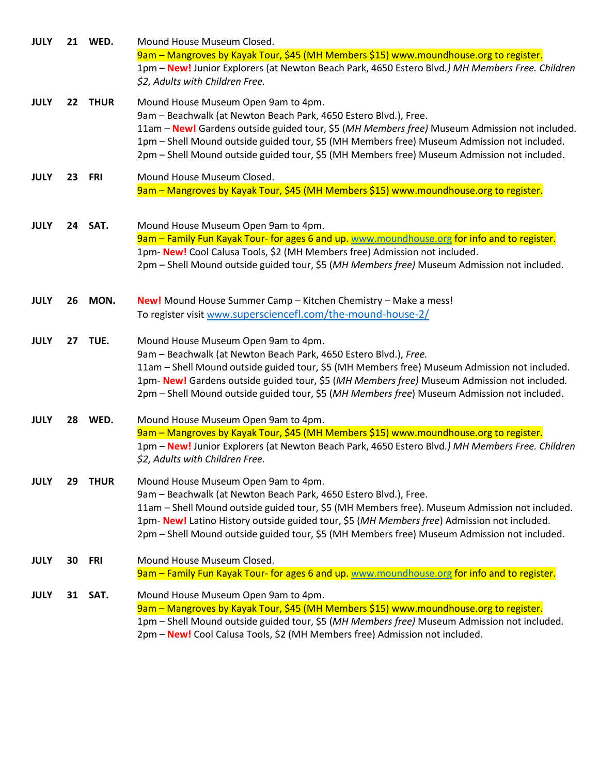| <b>JULY</b> |         | 21 WED.     | Mound House Museum Closed.                                                                      |
|-------------|---------|-------------|-------------------------------------------------------------------------------------------------|
|             |         |             | 9am - Mangroves by Kayak Tour, \$45 (MH Members \$15) www.moundhouse.org to register.           |
|             |         |             | 1pm - New! Junior Explorers (at Newton Beach Park, 4650 Estero Blvd.) MH Members Free. Children |
|             |         |             | \$2, Adults with Children Free.                                                                 |
| <b>JULY</b> | $22 \,$ | <b>THUR</b> | Mound House Museum Open 9am to 4pm.                                                             |
|             |         |             | 9am - Beachwalk (at Newton Beach Park, 4650 Estero Blvd.), Free.                                |
|             |         |             | 11am - New! Gardens outside guided tour, \$5 (MH Members free) Museum Admission not included.   |
|             |         |             | 1pm - Shell Mound outside guided tour, \$5 (MH Members free) Museum Admission not included.     |
|             |         |             | 2pm - Shell Mound outside guided tour, \$5 (MH Members free) Museum Admission not included.     |
| <b>JULY</b> | 23      | <b>FRI</b>  | Mound House Museum Closed.                                                                      |
|             |         |             | 9am - Mangroves by Kayak Tour, \$45 (MH Members \$15) www.moundhouse.org to register.           |
|             |         |             |                                                                                                 |
| <b>JULY</b> | 24      | SAT.        | Mound House Museum Open 9am to 4pm.                                                             |
|             |         |             | 9am - Family Fun Kayak Tour- for ages 6 and up. www.moundhouse.org for info and to register.    |
|             |         |             | 1pm-New! Cool Calusa Tools, \$2 (MH Members free) Admission not included.                       |
|             |         |             | 2pm - Shell Mound outside guided tour, \$5 (MH Members free) Museum Admission not included.     |
|             |         |             |                                                                                                 |
| <b>JULY</b> | 26      | MON.        | New! Mound House Summer Camp - Kitchen Chemistry - Make a mess!                                 |
|             |         |             | To register visit www.supersciencefl.com/the-mound-house-2/                                     |
| <b>JULY</b> | 27      | TUE.        | Mound House Museum Open 9am to 4pm.                                                             |
|             |         |             | 9am - Beachwalk (at Newton Beach Park, 4650 Estero Blvd.), Free.                                |
|             |         |             | 11am - Shell Mound outside guided tour, \$5 (MH Members free) Museum Admission not included.    |
|             |         |             | 1pm- New! Gardens outside guided tour, \$5 (MH Members free) Museum Admission not included.     |
|             |         |             | 2pm - Shell Mound outside guided tour, \$5 (MH Members free) Museum Admission not included.     |
| <b>JULY</b> | 28      | WED.        | Mound House Museum Open 9am to 4pm.                                                             |
|             |         |             | 9am - Mangroves by Kayak Tour, \$45 (MH Members \$15) www.moundhouse.org to register.           |
|             |         |             | 1pm - New! Junior Explorers (at Newton Beach Park, 4650 Estero Blvd.) MH Members Free. Children |
|             |         |             | \$2, Adults with Children Free.                                                                 |
| <b>JULY</b> | 29      | <b>THUR</b> | Mound House Museum Open 9am to 4pm.                                                             |
|             |         |             | 9am - Beachwalk (at Newton Beach Park, 4650 Estero Blvd.), Free.                                |
|             |         |             | 11am - Shell Mound outside guided tour, \$5 (MH Members free). Museum Admission not included.   |
|             |         |             | 1pm- New! Latino History outside guided tour, \$5 (MH Members free) Admission not included.     |
|             |         |             | 2pm - Shell Mound outside guided tour, \$5 (MH Members free) Museum Admission not included.     |
| <b>JULY</b> | 30      | FRI         | Mound House Museum Closed.                                                                      |
|             |         |             | 9am - Family Fun Kayak Tour- for ages 6 and up. www.moundhouse.org for info and to register.    |
| <b>JULY</b> | 31      | SAT.        | Mound House Museum Open 9am to 4pm.                                                             |
|             |         |             | 9am - Mangroves by Kayak Tour, \$45 (MH Members \$15) www.moundhouse.org to register.           |
|             |         |             | 1pm - Shell Mound outside guided tour, \$5 (MH Members free) Museum Admission not included.     |
|             |         |             | 2pm - New! Cool Calusa Tools, \$2 (MH Members free) Admission not included.                     |
|             |         |             |                                                                                                 |